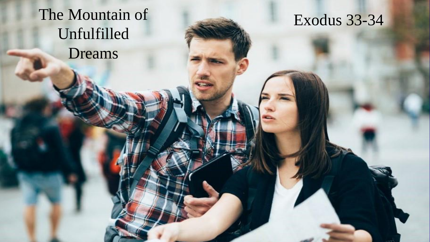The Mountain of Unfulfilled Dreams

Exodus 33 -34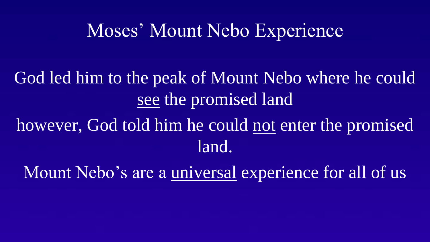## Moses' Mount Nebo Experience

God led him to the peak of Mount Nebo where he could see the promised land

however, God told him he could not enter the promised land.

Mount Nebo's are a universal experience for all of us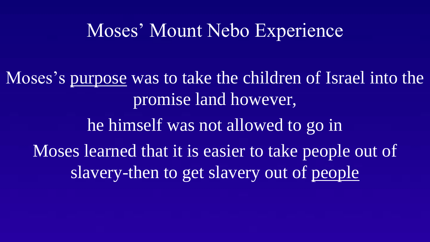## Moses' Mount Nebo Experience

Moses's purpose was to take the children of Israel into the promise land however, he himself was not allowed to go in Moses learned that it is easier to take people out of slavery-then to get slavery out of people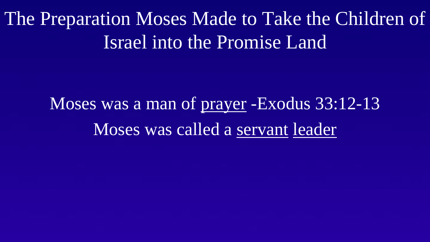The Preparation Moses Made to Take the Children of Israel into the Promise Land

> Moses was a man of prayer -Exodus 33:12-13 Moses was called a servant leader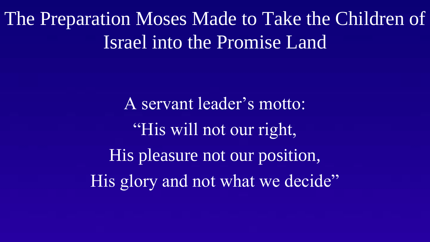The Preparation Moses Made to Take the Children of Israel into the Promise Land

> A servant leader's motto: "His will not our right, His pleasure not our position, His glory and not what we decide"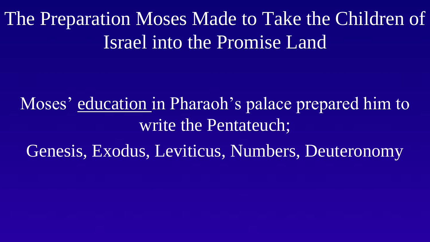The Preparation Moses Made to Take the Children of Israel into the Promise Land

Moses' education in Pharaoh's palace prepared him to write the Pentateuch;

Genesis, Exodus, Leviticus, Numbers, Deuteronomy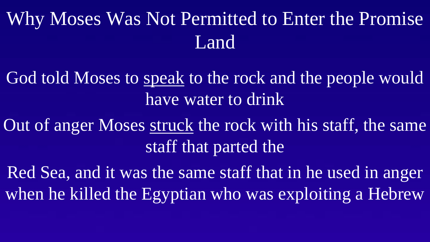# Why Moses Was Not Permitted to Enter the Promise Land

God told Moses to speak to the rock and the people would have water to drink

Out of anger Moses struck the rock with his staff, the same staff that parted the

Red Sea, and it was the same staff that in he used in anger when he killed the Egyptian who was exploiting a Hebrew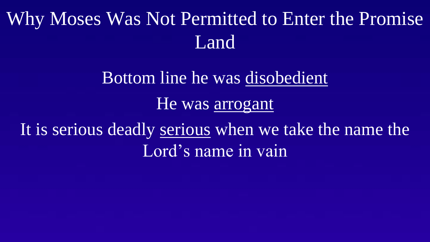## Why Moses Was Not Permitted to Enter the Promise Land

# Bottom line he was disobedient He was arrogant It is serious deadly serious when we take the name the Lord's name in vain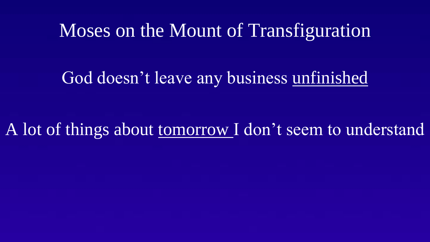### Moses on the Mount of Transfiguration

#### God doesn't leave any business unfinished

A lot of things about tomorrow I don't seem to understand